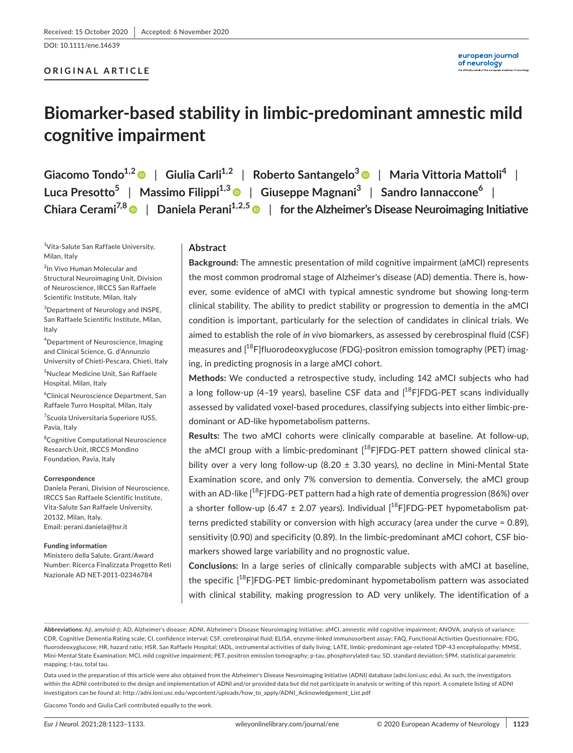DOI: 10.1111/ene.14639

# **ORIGINAL ARTICLE**

# **Biomarker-based stability in limbic-predominant amnestic mild cognitive impairment**

**Giacomo Tondo1,2** | **Giulia Carli1,2** | **Roberto Santangelo<sup>3</sup>** | **Maria Vittoria Mattoli<sup>4</sup>** | **Luca Presotto5** | **Massimo Filippi1,3** | **Giuseppe Magnani<sup>3</sup>** | **Sandro Iannaccone<sup>6</sup>** | **Chiara Cerami7,[8](https://orcid.org/0000-0003-1974-3421)** | **Daniela Perani1,2,5** | **for the Alzheimer's Disease Neuroimaging Initiative**

1 Vita-Salute San Raffaele University, Milan, Italy

<sup>2</sup>In Vivo Human Molecular and Structural Neuroimaging Unit, Division of Neuroscience, IRCCS San Raffaele Scientific Institute, Milan, Italy

3 Department of Neurology and INSPE, San Raffaele Scientific Institute, Milan, Italy

4 Department of Neuroscience, Imaging and Clinical Science, G. d'Annunzio University of Chieti-Pescara, Chieti, Italy

5 Nuclear Medicine Unit, San Raffaele Hospital, Milan, Italy

6 Clinical Neuroscience Department, San Raffaele Turro Hospital, Milan, Italy

7 Scuola Universitaria Superiore IUSS, Pavia, Italy

<sup>8</sup>Cognitive Computational Neuroscience Research Unit, IRCCS Mondino Foundation, Pavia, Italy

#### **Correspondence**

Daniela Perani, Division of Neuroscience, IRCCS San Raffaele Scientific Institute, Vita-Salute San Raffaele University, 20132, Milan, Italy. Email: [perani.daniela@hsr.it](mailto:perani.daniela@hsr.it)

#### **Funding information**

Ministero della Salute, Grant/Award Number: Ricerca Finalizzata Progetto Reti Nazionale AD NET-2011-02346784

# **Abstract**

**Background:** The amnestic presentation of mild cognitive impairment (aMCI) represents the most common prodromal stage of Alzheimer's disease (AD) dementia. There is, however, some evidence of aMCI with typical amnestic syndrome but showing long-term clinical stability. The ability to predict stability or progression to dementia in the aMCI condition is important, particularly for the selection of candidates in clinical trials. We aimed to establish the role of *in vivo* biomarkers, as assessed by cerebrospinal fluid (CSF) measures and  $[18F]$ fluorodeoxyglucose (FDG)-positron emission tomography (PET) imaging, in predicting prognosis in a large aMCI cohort.

**Methods:** We conducted a retrospective study, including 142 aMCI subjects who had a long follow-up (4-19 years), baseline CSF data and  $[$ <sup>18</sup>F]FDG-PET scans individually assessed by validated voxel-based procedures, classifying subjects into either limbic-predominant or AD-like hypometabolism patterns.

**Results:** The two aMCI cohorts were clinically comparable at baseline. At follow-up, the aMCI group with a limbic-predominant  $[$ <sup>18</sup>F]FDG-PET pattern showed clinical stability over a very long follow-up (8.20  $\pm$  3.30 years), no decline in Mini-Mental State Examination score, and only 7% conversion to dementia. Conversely, the aMCI group with an AD-like  $[18F]$ FDG-PET pattern had a high rate of dementia progression (86%) over a shorter follow-up (6.47  $\pm$  2.07 years). Individual  $[^{18}F]FDG-PET$  hypometabolism patterns predicted stability or conversion with high accuracy (area under the curve = 0.89), sensitivity (0.90) and specificity (0.89). In the limbic-predominant aMCI cohort, CSF biomarkers showed large variability and no prognostic value.

**Conclusions:** In a large series of clinically comparable subjects with aMCI at baseline, the specific  $[18F]FDG-PET$  limbic-predominant hypometabolism pattern was associated with clinical stability, making progression to AD very unlikely. The identification of a

**Abbreviations:** Aβ, amyloid-β; AD, Alzheimer's disease; ADNI, Alzheimer's Disease Neuroimaging Initiative; aMCI, amnestic mild cognitive impairment; ANOVA, analysis of variance; CDR, Cognitive Dementia Rating scale; CI, confidence interval; CSF, cerebrospinal fluid; ELISA, enzyme-linked immunosorbent assay; FAQ, Functional Activities Questionnaire; FDG, fluorodeoxyglucose; HR, hazard ratio; HSR, San Raffaele Hospital; IADL, instrumental activities of daily living; LATE, limbic-predominant age-related TDP-43 encephalopathy; MMSE, Mini-Mental State Examination; MCI, mild cognitive impairment; PET, positron emission tomography; p-tau, phosphorylated-tau; SD, standard deviation; SPM, statistical parametric mapping; t-tau, total tau.

Data used in the preparation of this article were also obtained from the Alzheimer's Disease Neuroimaging Initiative (ADNI) database ([adni.loni.usc.edu\)](http://adni.loni.usc.edu). As such, the investigators within the ADNI contributed to the design and implementation of ADNI and/or provided data but did not participate in analysis or writing of this report. A complete listing of ADNI investigators can be found at: [http://adni.loni.usc.edu/wpcontent/uploads/how\\_to\\_apply/ADNI\\_Acknowledgement\\_List.pdf](http://adni.loni.usc.edu/wpcontent/uploads/how_to_apply/ADNI_Acknowledgement_List.pdf)

Giacomo Tondo and Giulia Carli contributed equally to the work.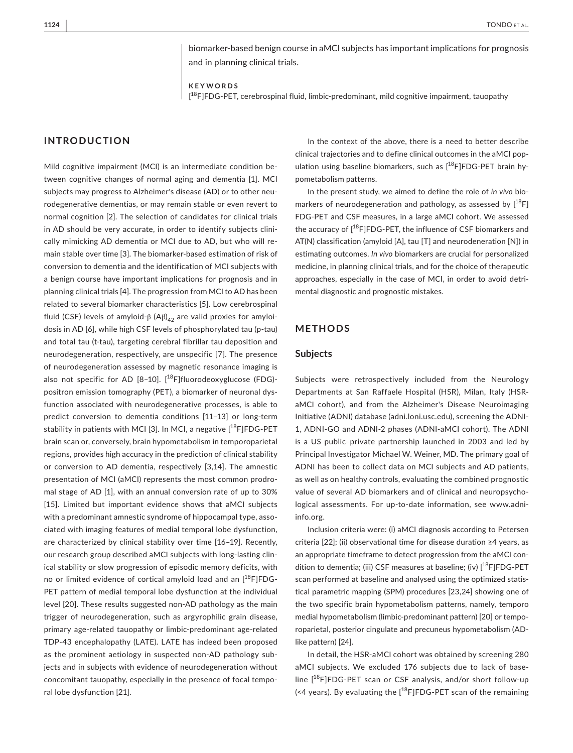biomarker-based benign course in aMCI subjects has important implications for prognosis and in planning clinical trials.

**KEYWORDS** [ <sup>18</sup>F]FDG-PET, cerebrospinal fluid, limbic-predominant, mild cognitive impairment, tauopathy

# **INTRODUCTION**

Mild cognitive impairment (MCI) is an intermediate condition between cognitive changes of normal aging and dementia [1]. MCI subjects may progress to Alzheimer's disease (AD) or to other neurodegenerative dementias, or may remain stable or even revert to normal cognition [2]. The selection of candidates for clinical trials in AD should be very accurate, in order to identify subjects clinically mimicking AD dementia or MCI due to AD, but who will remain stable over time [3]. The biomarker-based estimation of risk of conversion to dementia and the identification of MCI subjects with a benign course have important implications for prognosis and in planning clinical trials [4]. The progression from MCI to AD has been related to several biomarker characteristics [5]. Low cerebrospinal fluid (CSF) levels of amyloid-β (Aβ) $_{42}$  are valid proxies for amyloidosis in AD [6], while high CSF levels of phosphorylated tau (p-tau) and total tau (t-tau), targeting cerebral fibrillar tau deposition and neurodegeneration, respectively, are unspecific [7]. The presence of neurodegeneration assessed by magnetic resonance imaging is also not specific for AD  $[8-10]$ .  $[{}^{18}F]$ fluorodeoxyglucose (FDG)positron emission tomography (PET), a biomarker of neuronal dysfunction associated with neurodegenerative processes, is able to predict conversion to dementia conditions [11–13] or long-term stability in patients with MCI [3]. In MCI, a negative  $[^{18}F]FDG-PET$ brain scan or, conversely, brain hypometabolism in temporoparietal regions, provides high accuracy in the prediction of clinical stability or conversion to AD dementia, respectively [3,14]. The amnestic presentation of MCI (aMCI) represents the most common prodromal stage of AD [1], with an annual conversion rate of up to 30% [15]. Limited but important evidence shows that aMCI subjects with a predominant amnestic syndrome of hippocampal type, associated with imaging features of medial temporal lobe dysfunction, are characterized by clinical stability over time [16–19]. Recently, our research group described aMCI subjects with long-lasting clinical stability or slow progression of episodic memory deficits, with no or limited evidence of cortical amyloid load and an  $[^{18}F]FDG-$ PET pattern of medial temporal lobe dysfunction at the individual level [20]. These results suggested non-AD pathology as the main trigger of neurodegeneration, such as argyrophilic grain disease, primary age-related tauopathy or limbic-predominant age-related TDP-43 encephalopathy (LATE). LATE has indeed been proposed as the prominent aetiology in suspected non-AD pathology subjects and in subjects with evidence of neurodegeneration without concomitant tauopathy, especially in the presence of focal temporal lobe dysfunction [21].

In the context of the above, there is a need to better describe clinical trajectories and to define clinical outcomes in the aMCI population using baseline biomarkers, such as  $[$ <sup>18</sup>F]FDG-PET brain hypometabolism patterns.

In the present study, we aimed to define the role of *in vivo* biomarkers of neurodegeneration and pathology, as assessed by  $1^{18}F$ ] FDG-PET and CSF measures, in a large aMCI cohort. We assessed the accuracy of  $[^{18}F]FDG-PET$ , the influence of CSF biomarkers and AT(N) classification (amyloid [A], tau [T] and neurodeneration [N]) in estimating outcomes. *In vivo* biomarkers are crucial for personalized medicine, in planning clinical trials, and for the choice of therapeutic approaches, especially in the case of MCI, in order to avoid detrimental diagnostic and prognostic mistakes.

## **METHODS**

## **Subjects**

Subjects were retrospectively included from the Neurology Departments at San Raffaele Hospital (HSR), Milan, Italy (HSRaMCI cohort), and from the Alzheimer's Disease Neuroimaging Initiative (ADNI) database ([adni.loni.usc.edu](http://adni.loni.usc.edu)), screening the ADNI-1, ADNI-GO and ADNI-2 phases (ADNI-aMCI cohort). The ADNI is a US public–private partnership launched in 2003 and led by Principal Investigator Michael W. Weiner, MD. The primary goal of ADNI has been to collect data on MCI subjects and AD patients, as well as on healthy controls, evaluating the combined prognostic value of several AD biomarkers and of clinical and neuropsychological assessments. For up-to-date information, see [www.adni](http://www.adni-info.org)[info.org.](http://www.adni-info.org)

Inclusion criteria were: (i) aMCI diagnosis according to Petersen criteria [22]; (ii) observational time for disease duration ≥4 years, as an appropriate timeframe to detect progression from the aMCI condition to dementia; (iii) CSF measures at baseline; (iv) [<sup>18</sup>F]FDG-PET scan performed at baseline and analysed using the optimized statistical parametric mapping (SPM) procedures [23,24] showing one of the two specific brain hypometabolism patterns, namely, temporo medial hypometabolism (limbic-predominant pattern) [20] or temporoparietal, posterior cingulate and precuneus hypometabolism (ADlike pattern) [24].

In detail, the HSR-aMCI cohort was obtained by screening 280 aMCI subjects. We excluded 176 subjects due to lack of baseline [18F]FDG-PET scan or CSF analysis, and/or short follow-up (<4 years). By evaluating the  $[18F]$ FDG-PET scan of the remaining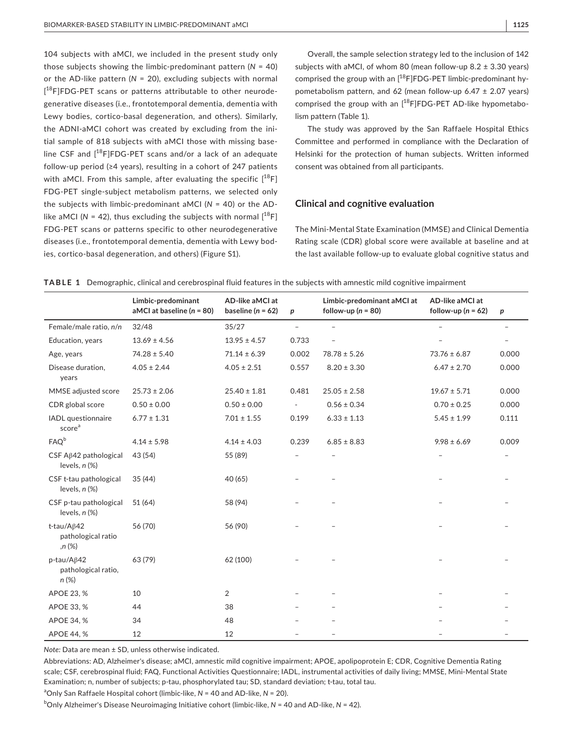104 subjects with aMCI, we included in the present study only those subjects showing the limbic-predominant pattern (*N* = 40) or the AD-like pattern (*N* = 20), excluding subjects with normal [<sup>18</sup>F]FDG-PET scans or patterns attributable to other neurodegenerative diseases (i.e., frontotemporal dementia, dementia with Lewy bodies, cortico-basal degeneration, and others). Similarly, the ADNI-aMCI cohort was created by excluding from the initial sample of 818 subjects with aMCI those with missing baseline CSF and [18F]FDG-PET scans and/or a lack of an adequate follow-up period (≥4 years), resulting in a cohort of 247 patients with aMCI. From this sample, after evaluating the specific  $[^{18}F]$ FDG-PET single-subject metabolism patterns, we selected only the subjects with limbic-predominant aMCI (*N* = 40) or the ADlike aMCI ( $N = 42$ ), thus excluding the subjects with normal  $[^{18}F]$ FDG-PET scans or patterns specific to other neurodegenerative diseases (i.e., frontotemporal dementia, dementia with Lewy bodies, cortico-basal degeneration, and others) (Figure S1).

Overall, the sample selection strategy led to the inclusion of 142 subjects with aMCI, of whom 80 (mean follow-up 8.2 ± 3.30 years) comprised the group with an  $[18$ F]FDG-PET limbic-predominant hypometabolism pattern, and 62 (mean follow-up 6.47  $\pm$  2.07 years) comprised the group with an  $[$ <sup>18</sup>F]FDG-PET AD-like hypometabolism pattern (Table 1).

The study was approved by the San Raffaele Hospital Ethics Committee and performed in compliance with the Declaration of Helsinki for the protection of human subjects. Written informed consent was obtained from all participants.

# **Clinical and cognitive evaluation**

The Mini-Mental State Examination (MMSE) and Clinical Dementia Rating scale (CDR) global score were available at baseline and at the last available follow-up to evaluate global cognitive status and

|                                                          | Limbic-predominant<br>aMCI at baseline $(n = 80)$ | AD-like aMCI at<br>baseline ( $n = 62$ ) | $\boldsymbol{p}$         | Limbic-predominant aMCI at<br>follow-up ( $n = 80$ ) | AD-like aMCI at<br>follow-up ( $n = 62$ ) | p                        |
|----------------------------------------------------------|---------------------------------------------------|------------------------------------------|--------------------------|------------------------------------------------------|-------------------------------------------|--------------------------|
| Female/male ratio, n/n                                   | 32/48                                             | 35/27                                    | $\overline{\phantom{a}}$ | $\overline{a}$                                       |                                           | $\overline{\phantom{0}}$ |
| Education, years                                         | $13.69 \pm 4.56$                                  | $13.95 \pm 4.57$                         | 0.733                    | $\overline{\phantom{0}}$                             |                                           |                          |
| Age, years                                               | $74.28 \pm 5.40$                                  | $71.14 \pm 6.39$                         | 0.002                    | $78.78 \pm 5.26$                                     | $73.76 \pm 6.87$                          | 0.000                    |
| Disease duration,<br>years                               | $4.05 \pm 2.44$                                   | $4.05 \pm 2.51$                          | 0.557                    | $8.20 \pm 3.30$                                      | $6.47 \pm 2.70$                           | 0.000                    |
| MMSE adjusted score                                      | $25.73 \pm 2.06$                                  | $25.40 \pm 1.81$                         | 0.481                    | $25.05 \pm 2.58$                                     | $19.67 \pm 5.71$                          | 0.000                    |
| CDR global score                                         | $0.50 \pm 0.00$                                   | $0.50 \pm 0.00$                          |                          | $0.56 \pm 0.34$                                      | $0.70 \pm 0.25$                           | 0.000                    |
| IADL questionnaire<br>score <sup>a</sup>                 | $6.77 \pm 1.31$                                   | $7.01 \pm 1.55$                          | 0.199                    | $6.33 \pm 1.13$                                      | $5.45 \pm 1.99$                           | 0.111                    |
| FAQ <sup>b</sup>                                         | $4.14 \pm 5.98$                                   | $4.14 \pm 4.03$                          | 0.239                    | $6.85 \pm 8.83$                                      | $9.98 \pm 6.69$                           | 0.009                    |
| CSF A <sub>6</sub> 42 pathological<br>levels, $n$ $(\%)$ | 43 (54)                                           | 55 (89)                                  |                          |                                                      |                                           |                          |
| CSF t-tau pathological<br>levels, $n$ $%$                | 35(44)                                            | 40 (65)                                  |                          |                                                      |                                           |                          |
| CSF p-tau pathological<br>levels, $n$ $%$                | 51 (64)                                           | 58 (94)                                  |                          |                                                      |                                           |                          |
| t-tau/A $\beta$ 42<br>pathological ratio<br>,n (%)       | 56 (70)                                           | 56 (90)                                  |                          |                                                      |                                           |                          |
| p-tau/Aβ42<br>pathological ratio,<br>$n (\%)$            | 63 (79)                                           | 62 (100)                                 |                          |                                                      |                                           |                          |
| APOE 23, %                                               | 10                                                | $\overline{2}$                           |                          |                                                      |                                           |                          |
| APOE 33, %                                               | 44                                                | 38                                       |                          |                                                      |                                           |                          |
| APOE 34, %                                               | 34                                                | 48                                       |                          |                                                      |                                           |                          |
| <b>APOE 44, %</b>                                        | 12                                                | 12                                       |                          |                                                      |                                           |                          |

|  |  |  |  | TABLE 1 Demographic, clinical and cerebrospinal fluid features in the subjects with amnestic mild cognitive impairment |
|--|--|--|--|------------------------------------------------------------------------------------------------------------------------|
|--|--|--|--|------------------------------------------------------------------------------------------------------------------------|

*Note:* Data are mean ± SD, unless otherwise indicated.

Abbreviations: AD, Alzheimer's disease; aMCI, amnestic mild cognitive impairment; APOE, apolipoprotein E; CDR, Cognitive Dementia Rating scale; CSF, cerebrospinal fluid; FAQ, Functional Activities Questionnaire; IADL, instrumental activities of daily living; MMSE, Mini-Mental State Examination; n, number of subjects; p-tau, phosphorylated tau; SD, standard deviation; t-tau, total tau.

a Only San Raffaele Hospital cohort (limbic-like, *N* = 40 and AD-like, *N* = 20).

b Only Alzheimer's Disease Neuroimaging Initiative cohort (limbic-like, *N* = 40 and AD-like, *N* = 42).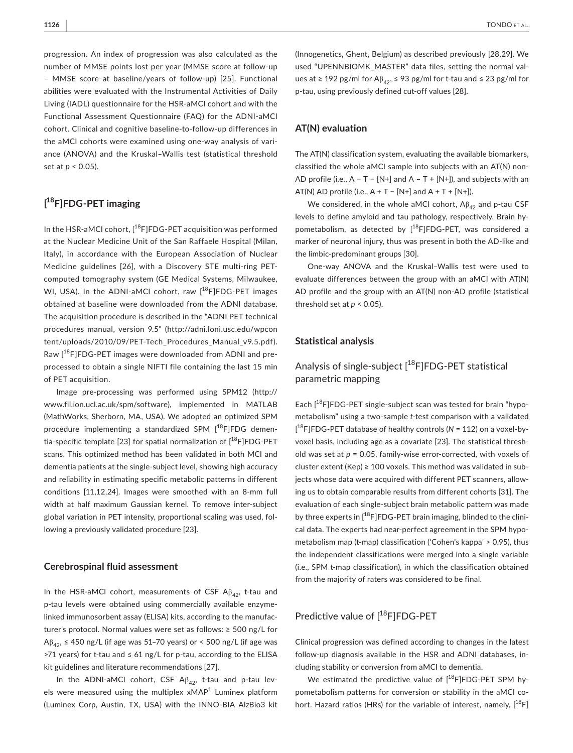progression. An index of progression was also calculated as the number of MMSE points lost per year (MMSE score at follow-up – MMSE score at baseline/years of follow-up) [25]. Functional abilities were evaluated with the Instrumental Activities of Daily Living (IADL) questionnaire for the HSR-aMCI cohort and with the Functional Assessment Questionnaire (FAQ) for the ADNI-aMCI cohort. Clinical and cognitive baseline-to-follow-up differences in the aMCI cohorts were examined using one-way analysis of variance (ANOVA) and the Kruskal–Wallis test (statistical threshold set at *p* < 0.05).

# **[ <sup>18</sup>F]FDG-PET imaging**

In the HSR-aMCI cohort,  $[$ <sup>18</sup>F]FDG-PET acquisition was performed at the Nuclear Medicine Unit of the San Raffaele Hospital (Milan, Italy), in accordance with the European Association of Nuclear Medicine guidelines [26], with a Discovery STE multi-ring PETcomputed tomography system (GE Medical Systems, Milwaukee, WI, USA). In the ADNI-aMCI cohort, raw  $[$ <sup>18</sup>F]FDG-PET images obtained at baseline were downloaded from the ADNI database. The acquisition procedure is described in the "ADNI PET technical procedures manual, version 9.5" ([http://adni.loni.usc.edu/wpcon](http://adni.loni.usc.edu/wpcontent/uploads/2010/09/PET-Tech_Procedures_Manual_v9.5.pdf) [tent/uploads/2010/09/PET-Tech\\_Procedures\\_Manual\\_v9.5.pdf](http://adni.loni.usc.edu/wpcontent/uploads/2010/09/PET-Tech_Procedures_Manual_v9.5.pdf)). Raw [18F]FDG-PET images were downloaded from ADNI and preprocessed to obtain a single NIFTI file containing the last 15 min of PET acquisition.

Image pre-processing was performed using SPM12 ([http://](http://www.fil.ion.ucl.ac.uk/spm/software) [www.fil.ion.ucl.ac.uk/spm/software](http://www.fil.ion.ucl.ac.uk/spm/software)), implemented in MATLAB (MathWorks, Sherborn, MA, USA). We adopted an optimized SPM procedure implementing a standardized SPM  $[$ <sup>18</sup>F]FDG dementia-specific template [23] for spatial normalization of  $[$ <sup>18</sup>F]FDG-PET scans. This optimized method has been validated in both MCI and dementia patients at the single-subject level, showing high accuracy and reliability in estimating specific metabolic patterns in different conditions [11,12,24]. Images were smoothed with an 8-mm full width at half maximum Gaussian kernel. To remove inter-subject global variation in PET intensity, proportional scaling was used, following a previously validated procedure [23].

## **Cerebrospinal fluid assessment**

In the HSR-aMCI cohort, measurements of CSF  $A\beta_{42}$ , t-tau and p-tau levels were obtained using commercially available enzymelinked immunosorbent assay (ELISA) kits, according to the manufacturer's protocol. Normal values were set as follows: ≥ 500 ng/L for  $A\beta_{42}$ ,  $\leq$  450 ng/L (if age was 51-70 years) or < 500 ng/L (if age was >71 years) for t-tau and ≤ 61 ng/L for p-tau, according to the ELISA kit guidelines and literature recommendations [27].

In the ADNI-aMCI cohort, CSF  $A\beta_{42}$ , t-tau and p-tau levels were measured using the multiplex  $x$ MAP<sup>1</sup> Luminex platform (Luminex Corp, Austin, TX, USA) with the INNO-BIA AlzBio3 kit

(Innogenetics, Ghent, Belgium) as described previously [28,29]. We used "UPENNBIOMK\_MASTER" data files, setting the normal values at  $\geq$  192 pg/ml for A $\beta_{42}$ ,  $\leq$  93 pg/ml for t-tau and  $\leq$  23 pg/ml for p-tau, using previously defined cut-off values [28].

# **AT(N) evaluation**

The AT(N) classification system, evaluating the available biomarkers, classified the whole aMCI sample into subjects with an AT(N) non-AD profile (i.e.,  $A - T - [N+]$  and  $A - T + [N+]$ ), and subjects with an AT(N) AD profile (i.e.,  $A + T - [N+]$  and  $A + T + [N+]$ ).

We considered, in the whole aMCI cohort,  $A\beta_{42}$  and p-tau CSF levels to define amyloid and tau pathology, respectively. Brain hypometabolism, as detected by  $[$ <sup>18</sup>F]FDG-PET, was considered a marker of neuronal injury, thus was present in both the AD-like and the limbic-predominant groups [30].

One-way ANOVA and the Kruskal–Wallis test were used to evaluate differences between the group with an aMCI with AT(N) AD profile and the group with an AT(N) non-AD profile (statistical threshold set at  $p < 0.05$ ).

## **Statistical analysis**

# Analysis of single-subject  $[$ <sup>18</sup>F]FDG-PET statistical parametric mapping

Each  $[18F]$ FDG-PET single-subject scan was tested for brain "hypometabolism" using a two-sample *t*-test comparison with a validated [ <sup>18</sup>F]FDG-PET database of healthy controls (*N* = 112) on a voxel-byvoxel basis, including age as a covariate [23]. The statistical threshold was set at *p* = 0.05, family-wise error-corrected, with voxels of cluster extent (Kep) ≥ 100 voxels. This method was validated in subjects whose data were acquired with different PET scanners, allowing us to obtain comparable results from different cohorts [31]. The evaluation of each single-subject brain metabolic pattern was made by three experts in [<sup>18</sup>F]FDG-PET brain imaging, blinded to the clinical data. The experts had near-perfect agreement in the SPM hypometabolism map (t-map) classification ('Cohen's kappa' > 0.95), thus the independent classifications were merged into a single variable (i.e., SPM t-map classification), in which the classification obtained from the majority of raters was considered to be final.

# Predictive value of [<sup>18</sup>F]FDG-PET

Clinical progression was defined according to changes in the latest follow-up diagnosis available in the HSR and ADNI databases, including stability or conversion from aMCI to dementia.

We estimated the predictive value of  $[^{18}F]FDG-PET$  SPM hypometabolism patterns for conversion or stability in the aMCI cohort. Hazard ratios (HRs) for the variable of interest, namely,  $[18F]$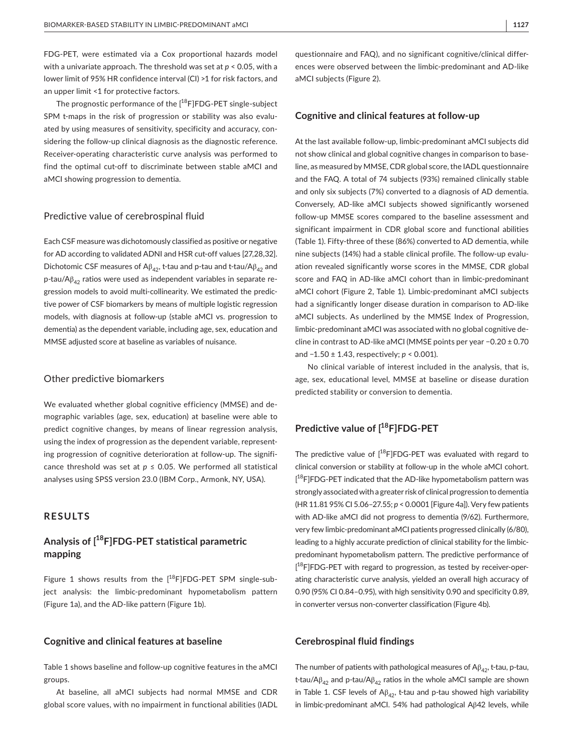FDG-PET, were estimated via a Cox proportional hazards model with a univariate approach. The threshold was set at *p* < 0.05, with a lower limit of 95% HR confidence interval (CI) >1 for risk factors, and an upper limit <1 for protective factors.

The prognostic performance of the  $[$ <sup>18</sup>F]FDG-PET single-subject SPM t-maps in the risk of progression or stability was also evaluated by using measures of sensitivity, specificity and accuracy, considering the follow-up clinical diagnosis as the diagnostic reference. Receiver-operating characteristic curve analysis was performed to find the optimal cut-off to discriminate between stable aMCI and aMCI showing progression to dementia.

## Predictive value of cerebrospinal fluid

Each CSF measure was dichotomously classified as positive or negative for AD according to validated ADNI and HSR cut-off values [27,28,32]. Dichotomic CSF measures of  $A\beta_{42}$ , t-tau and p-tau and t-tau/ $A\beta_{42}$  and p-tau/ $A\beta_{42}$  ratios were used as independent variables in separate regression models to avoid multi-collinearity. We estimated the predictive power of CSF biomarkers by means of multiple logistic regression models, with diagnosis at follow-up (stable aMCI vs. progression to dementia) as the dependent variable, including age, sex, education and MMSE adjusted score at baseline as variables of nuisance.

## Other predictive biomarkers

We evaluated whether global cognitive efficiency (MMSE) and demographic variables (age, sex, education) at baseline were able to predict cognitive changes, by means of linear regression analysis, using the index of progression as the dependent variable, representing progression of cognitive deterioration at follow-up. The significance threshold was set at  $p \le 0.05$ . We performed all statistical analyses using SPSS version 23.0 (IBM Corp., Armonk, NY, USA).

# **RESULTS**

# **Analysis of [<sup>18</sup>F]FDG-PET statistical parametric mapping**

Figure 1 shows results from the  $[$ <sup>18</sup>F]FDG-PET SPM single-subject analysis: the limbic-predominant hypometabolism pattern (Figure 1a), and the AD-like pattern (Figure 1b).

# **Cognitive and clinical features at baseline**

Table 1 shows baseline and follow-up cognitive features in the aMCI groups.

At baseline, all aMCI subjects had normal MMSE and CDR global score values, with no impairment in functional abilities (IADL questionnaire and FAQ), and no significant cognitive/clinical differences were observed between the limbic-predominant and AD-like aMCI subjects (Figure 2).

## **Cognitive and clinical features at follow-up**

At the last available follow-up, limbic-predominant aMCI subjects did not show clinical and global cognitive changes in comparison to baseline, as measured by MMSE, CDR global score, the IADL questionnaire and the FAQ. A total of 74 subjects (93%) remained clinically stable and only six subjects (7%) converted to a diagnosis of AD dementia. Conversely, AD-like aMCI subjects showed significantly worsened follow-up MMSE scores compared to the baseline assessment and significant impairment in CDR global score and functional abilities (Table 1). Fifty-three of these (86%) converted to AD dementia, while nine subjects (14%) had a stable clinical profile. The follow-up evaluation revealed significantly worse scores in the MMSE, CDR global score and FAQ in AD-like aMCI cohort than in limbic-predominant aMCI cohort (Figure 2, Table 1). Limbic-predominant aMCI subjects had a significantly longer disease duration in comparison to AD-like aMCI subjects. As underlined by the MMSE Index of Progression, limbic-predominant aMCI was associated with no global cognitive decline in contrast to AD-like aMCI (MMSE points per year −0.20 ± 0.70 and −1.50 ± 1.43, respectively; *p* < 0.001).

No clinical variable of interest included in the analysis, that is, age, sex, educational level, MMSE at baseline or disease duration predicted stability or conversion to dementia.

# **Predictive value of [<sup>18</sup>F]FDG-PET**

The predictive value of  $[$ <sup>18</sup>F]FDG-PET was evaluated with regard to clinical conversion or stability at follow-up in the whole aMCI cohort. [<sup>18</sup>F]FDG-PET indicated that the AD-like hypometabolism pattern was strongly associated with a greater risk of clinical progression to dementia (HR 11.81 95% CI 5.06–27.55; *p* < 0.0001 [Figure 4a]). Very few patients with AD-like aMCI did not progress to dementia (9/62). Furthermore, very few limbic-predominant aMCI patients progressed clinically (6/80), leading to a highly accurate prediction of clinical stability for the limbicpredominant hypometabolism pattern. The predictive performance of [<sup>18</sup>F]FDG-PET with regard to progression, as tested by receiver-operating characteristic curve analysis, yielded an overall high accuracy of 0.90 (95% CI 0.84–0.95), with high sensitivity 0.90 and specificity 0.89, in converter versus non-converter classification (Figure 4b).

## **Cerebrospinal fluid findings**

The number of patients with pathological measures of  $A\beta_{42}$ , t-tau, p-tau, t-tau/A $\beta_{42}$  and p-tau/A $\beta_{42}$  ratios in the whole aMCI sample are shown in Table 1. CSF levels of  $A\beta_{42}$ , t-tau and p-tau showed high variability in limbic-predominant aMCI. 54% had pathological Aβ42 levels, while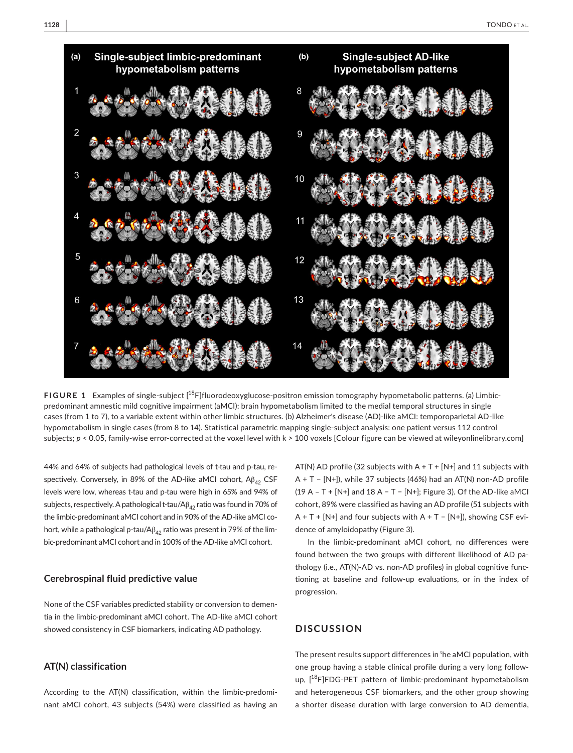

**FIGURE 1** Examples of single-subject [<sup>18</sup>F]fluorodeoxyglucose-positron emission tomography hypometabolic patterns. (a) Limbicpredominant amnestic mild cognitive impairment (aMCI): brain hypometabolism limited to the medial temporal structures in single cases (from 1 to 7), to a variable extent within other limbic structures. (b) Alzheimer's disease (AD)-like aMCI: temporoparietal AD-like hypometabolism in single cases (from 8 to 14). Statistical parametric mapping single-subject analysis: one patient versus 112 control subjects;  $p < 0.05$ , family-wise error-corrected at the voxel level with k > 100 voxels [Colour figure can be viewed at [wileyonlinelibrary.com\]](www.wileyonlinelibrary.com)

44% and 64% of subjects had pathological levels of t-tau and p-tau, respectively. Conversely, in 89% of the AD-like aMCI cohort,  $A\beta_{42}$  CSF levels were low, whereas t-tau and p-tau were high in 65% and 94% of subjects, respectively. A pathological t-tau/A $\beta_{42}$  ratio was found in 70% of the limbic-predominant aMCI cohort and in 90% of the AD-like aMCI cohort, while a pathological p-tau/A $\beta_{42}$  ratio was present in 79% of the limbic-predominant aMCI cohort and in 100% of the AD-like aMCI cohort.

## **Cerebrospinal fluid predictive value**

None of the CSF variables predicted stability or conversion to dementia in the limbic-predominant aMCI cohort. The AD-like aMCI cohort showed consistency in CSF biomarkers, indicating AD pathology.

# **AT(N) classification**

According to the AT(N) classification, within the limbic-predominant aMCI cohort, 43 subjects (54%) were classified as having an AT(N) AD profile (32 subjects with  $A + T + [N+]$  and 11 subjects with A + T − [N+]), while 37 subjects (46%) had an AT(N) non-AD profile (19 A – T + [N+] and 18 A − T − [N+]; Figure 3). Of the AD-like aMCI cohort, 89% were classified as having an AD profile (51 subjects with A + T + [N+] and four subjects with A + T − [N+]), showing CSF evidence of amyloidopathy (Figure 3).

In the limbic-predominant aMCI cohort, no differences were found between the two groups with different likelihood of AD pathology (i.e., AT(N)-AD vs. non-AD profiles) in global cognitive functioning at baseline and follow-up evaluations, or in the index of progression.

# **DISCUSSION**

The present results support differences in the aMCI population, with one group having a stable clinical profile during a very long followup, [<sup>18</sup>F]FDG-PET pattern of limbic-predominant hypometabolism and heterogeneous CSF biomarkers, and the other group showing a shorter disease duration with large conversion to AD dementia,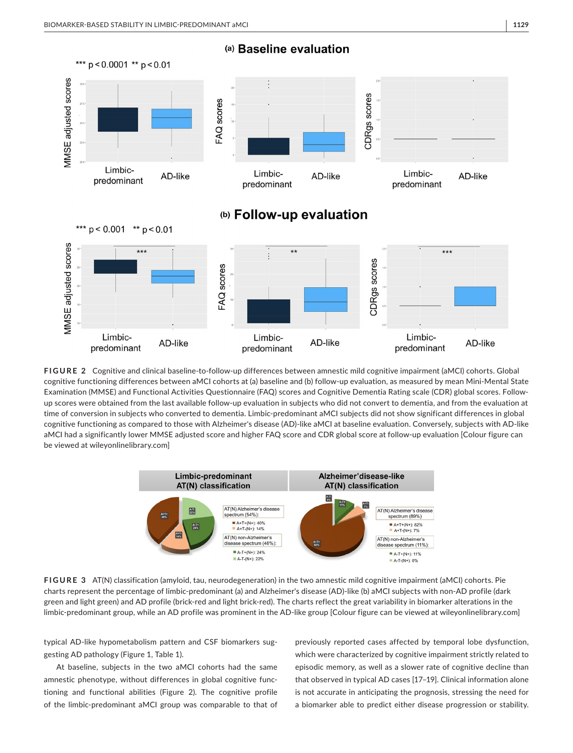

**FIGURE 2** Cognitive and clinical baseline-to-follow-up differences between amnestic mild cognitive impairment (aMCI) cohorts. Global cognitive functioning differences between aMCI cohorts at (a) baseline and (b) follow-up evaluation, as measured by mean Mini-Mental State Examination (MMSE) and Functional Activities Questionnaire (FAQ) scores and Cognitive Dementia Rating scale (CDR) global scores. Followup scores were obtained from the last available follow-up evaluation in subjects who did not convert to dementia, and from the evaluation at time of conversion in subjects who converted to dementia. Limbic-predominant aMCI subjects did not show significant differences in global cognitive functioning as compared to those with Alzheimer's disease (AD)-like aMCI at baseline evaluation. Conversely, subjects with AD-like aMCI had a significantly lower MMSE adjusted score and higher FAQ score and CDR global score at follow-up evaluation [Colour figure can be viewed at [wileyonlinelibrary.com](www.wileyonlinelibrary.com)]



**FIGURE 3** AT(N) classification (amyloid, tau, neurodegeneration) in the two amnestic mild cognitive impairment (aMCI) cohorts. Pie charts represent the percentage of limbic-predominant (a) and Alzheimer's disease (AD)-like (b) aMCI subjects with non-AD profile (dark green and light green) and AD profile (brick-red and light brick-red). The charts reflect the great variability in biomarker alterations in the limbic-predominant group, while an AD profile was prominent in the AD-like group [Colour figure can be viewed at [wileyonlinelibrary.com](www.wileyonlinelibrary.com)]

typical AD-like hypometabolism pattern and CSF biomarkers suggesting AD pathology (Figure 1, Table 1).

At baseline, subjects in the two aMCI cohorts had the same amnestic phenotype, without differences in global cognitive functioning and functional abilities (Figure 2). The cognitive profile of the limbic-predominant aMCI group was comparable to that of previously reported cases affected by temporal lobe dysfunction, which were characterized by cognitive impairment strictly related to episodic memory, as well as a slower rate of cognitive decline than that observed in typical AD cases [17–19]. Clinical information alone is not accurate in anticipating the prognosis, stressing the need for a biomarker able to predict either disease progression or stability.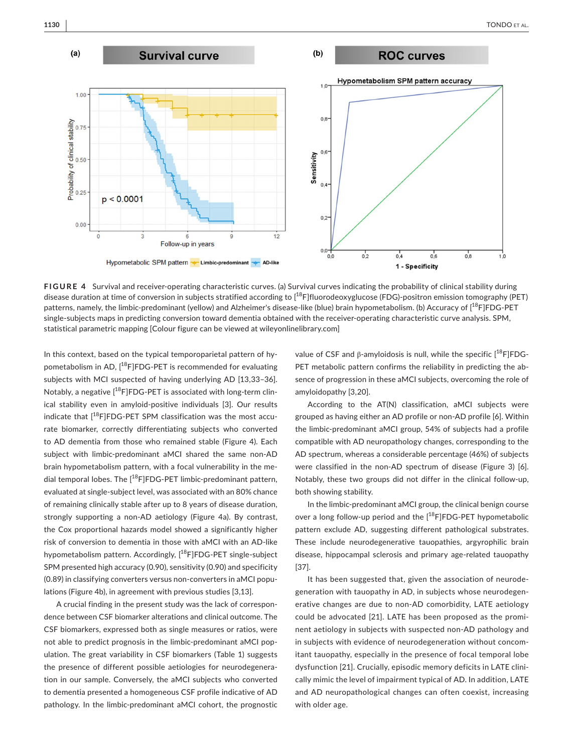

**FIGURE 4** Survival and receiver-operating characteristic curves. (a) Survival curves indicating the probability of clinical stability during disease duration at time of conversion in subjects stratified according to [<sup>18</sup>F]fluorodeoxyglucose (FDG)-positron emission tomography (PET) patterns, namely, the limbic-predominant (yellow) and Alzheimer's disease-like (blue) brain hypometabolism. (b) Accuracy of [<sup>18</sup>F]FDG-PET single-subjects maps in predicting conversion toward dementia obtained with the receiver-operating characteristic curve analysis. SPM, statistical parametric mapping [Colour figure can be viewed at [wileyonlinelibrary.com\]](www.wileyonlinelibrary.com)

In this context, based on the typical temporoparietal pattern of hypometabolism in AD, [<sup>18</sup>F]FDG-PET is recommended for evaluating subjects with MCI suspected of having underlying AD [13,33–36]. Notably, a negative  $[$ <sup>18</sup>F]FDG-PET is associated with long-term clinical stability even in amyloid-positive individuals [3]. Our results indicate that  $I^{18}$ FIFDG-PET SPM classification was the most accurate biomarker, correctly differentiating subjects who converted to AD dementia from those who remained stable (Figure 4). Each subject with limbic-predominant aMCI shared the same non-AD brain hypometabolism pattern, with a focal vulnerability in the medial temporal lobes. The  $[$ <sup>18</sup>F]FDG-PET limbic-predominant pattern, evaluated at single-subject level, was associated with an 80% chance of remaining clinically stable after up to 8 years of disease duration, strongly supporting a non-AD aetiology (Figure 4a). By contrast, the Cox proportional hazards model showed a significantly higher risk of conversion to dementia in those with aMCI with an AD-like hypometabolism pattern. Accordingly, [<sup>18</sup>F]FDG-PET single-subject SPM presented high accuracy (0.90), sensitivity (0.90) and specificity (0.89) in classifying converters versus non-converters in aMCI populations (Figure 4b), in agreement with previous studies [3,13].

A crucial finding in the present study was the lack of correspondence between CSF biomarker alterations and clinical outcome. The CSF biomarkers, expressed both as single measures or ratios, were not able to predict prognosis in the limbic-predominant aMCI population. The great variability in CSF biomarkers (Table 1) suggests the presence of different possible aetiologies for neurodegeneration in our sample. Conversely, the aMCI subjects who converted to dementia presented a homogeneous CSF profile indicative of AD pathology. In the limbic-predominant aMCI cohort, the prognostic

value of CSF and β-amyloidosis is null, while the specific  $[18F]FDG-$ PET metabolic pattern confirms the reliability in predicting the absence of progression in these aMCI subjects, overcoming the role of amyloidopathy [3,20].

According to the AT(N) classification, aMCI subjects were grouped as having either an AD profile or non-AD profile [6]. Within the limbic-predominant aMCI group, 54% of subjects had a profile compatible with AD neuropathology changes, corresponding to the AD spectrum, whereas a considerable percentage (46%) of subjects were classified in the non-AD spectrum of disease (Figure 3) [6]. Notably, these two groups did not differ in the clinical follow-up, both showing stability.

In the limbic-predominant aMCI group, the clinical benign course over a long follow-up period and the  $[$ <sup>18</sup>F]FDG-PET hypometabolic pattern exclude AD, suggesting different pathological substrates. These include neurodegenerative tauopathies, argyrophilic brain disease, hippocampal sclerosis and primary age-related tauopathy [37].

It has been suggested that, given the association of neurodegeneration with tauopathy in AD, in subjects whose neurodegenerative changes are due to non-AD comorbidity, LATE aetiology could be advocated [21]. LATE has been proposed as the prominent aetiology in subjects with suspected non-AD pathology and in subjects with evidence of neurodegeneration without concomitant tauopathy, especially in the presence of focal temporal lobe dysfunction [21]. Crucially, episodic memory deficits in LATE clinically mimic the level of impairment typical of AD. In addition, LATE and AD neuropathological changes can often coexist, increasing with older age.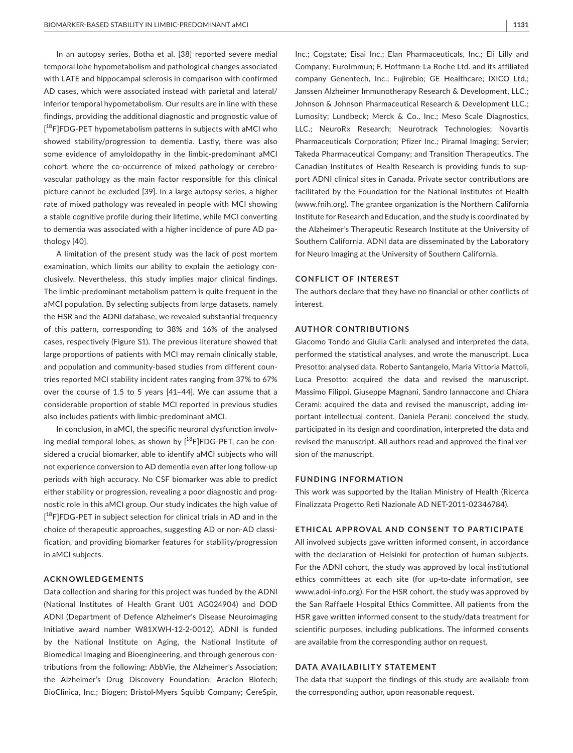In an autopsy series, Botha et al. [38] reported severe medial temporal lobe hypometabolism and pathological changes associated with LATE and hippocampal sclerosis in comparison with confirmed AD cases, which were associated instead with parietal and lateral/ inferior temporal hypometabolism. Our results are in line with these findings, providing the additional diagnostic and prognostic value of [<sup>18</sup>F]FDG-PET hypometabolism patterns in subjects with aMCI who showed stability/progression to dementia. Lastly, there was also some evidence of amyloidopathy in the limbic-predominant aMCI cohort, where the co-occurrence of mixed pathology or cerebrovascular pathology as the main factor responsible for this clinical picture cannot be excluded [39]. In a large autopsy series, a higher rate of mixed pathology was revealed in people with MCI showing a stable cognitive profile during their lifetime, while MCI converting to dementia was associated with a higher incidence of pure AD pathology [40].

A limitation of the present study was the lack of post mortem examination, which limits our ability to explain the aetiology conclusively. Nevertheless, this study implies major clinical findings. The limbic-predominant metabolism pattern is quite frequent in the aMCI population. By selecting subjects from large datasets, namely the HSR and the ADNI database, we revealed substantial frequency of this pattern, corresponding to 38% and 16% of the analysed cases, respectively (Figure S1). The previous literature showed that large proportions of patients with MCI may remain clinically stable, and population and community-based studies from different countries reported MCI stability incident rates ranging from 37% to 67% over the course of 1.5 to 5 years [41–44]. We can assume that a considerable proportion of stable MCI reported in previous studies also includes patients with limbic-predominant aMCI.

In conclusion, in aMCI, the specific neuronal dysfunction involving medial temporal lobes, as shown by  $[^{18}F]FDG-PET$ , can be considered a crucial biomarker, able to identify aMCI subjects who will not experience conversion to AD dementia even after long follow-up periods with high accuracy. No CSF biomarker was able to predict either stability or progression, revealing a poor diagnostic and prognostic role in this aMCI group. Our study indicates the high value of [<sup>18</sup>F]FDG-PET in subject selection for clinical trials in AD and in the choice of therapeutic approaches, suggesting AD or non-AD classification, and providing biomarker features for stability/progression in aMCI subjects.

## **ACKNOWLEDGEMENTS**

Data collection and sharing for this project was funded by the ADNI (National Institutes of Health Grant U01 AG024904) and DOD ADNI (Department of Defence Alzheimer's Disease Neuroimaging Initiative award number W81XWH-12-2-0012). ADNI is funded by the National Institute on Aging, the National Institute of Biomedical Imaging and Bioengineering, and through generous contributions from the following: AbbVie, the Alzheimer's Association; the Alzheimer's Drug Discovery Foundation; Araclon Biotech; BioClinica, Inc.; Biogen; Bristol-Myers Squibb Company; CereSpir,

Inc.; Cogstate; Eisai Inc.; Elan Pharmaceuticals, Inc.; Eli Lilly and Company; EuroImmun; F. Hoffmann-La Roche Ltd. and its affiliated company Genentech, Inc.; Fujirebio; GE Healthcare; IXICO Ltd.; Janssen Alzheimer Immunotherapy Research & Development, LLC.; Johnson & Johnson Pharmaceutical Research & Development LLC.; Lumosity; Lundbeck; Merck & Co., Inc.; Meso Scale Diagnostics, LLC.; NeuroRx Research; Neurotrack Technologies; Novartis Pharmaceuticals Corporation; Pfizer Inc.; Piramal Imaging; Servier; Takeda Pharmaceutical Company; and Transition Therapeutics. The Canadian Institutes of Health Research is providing funds to support ADNI clinical sites in Canada. Private sector contributions are facilitated by the Foundation for the National Institutes of Health ([www.fnih.org](http://www.fnih.org)). The grantee organization is the Northern California Institute for Research and Education, and the study is coordinated by the Alzheimer's Therapeutic Research Institute at the University of Southern California. ADNI data are disseminated by the Laboratory for Neuro Imaging at the University of Southern California.

## **CONFLICT OF INTEREST**

The authors declare that they have no financial or other conflicts of interest.

## **AUTHOR CONTRIBUTIONS**

Giacomo Tondo and Giulia Carli: analysed and interpreted the data, performed the statistical analyses, and wrote the manuscript. Luca Presotto: analysed data. Roberto Santangelo, Maria Vittoria Mattoli, Luca Presotto: acquired the data and revised the manuscript. Massimo Filippi, Giuseppe Magnani, Sandro Iannaccone and Chiara Cerami: acquired the data and revised the manuscript, adding important intellectual content. Daniela Perani: conceived the study, participated in its design and coordination, interpreted the data and revised the manuscript. All authors read and approved the final version of the manuscript.

#### **FUNDING INFORMATION**

This work was supported by the Italian Ministry of Health (Ricerca Finalizzata Progetto Reti Nazionale AD NET-2011-02346784).

## **ETHICAL APPROVAL AND CONSENT TO PARTICIPATE**

All involved subjects gave written informed consent, in accordance with the declaration of Helsinki for protection of human subjects. For the ADNI cohort, the study was approved by local institutional ethics committees at each site (for up-to-date information, see [www.adni-info.org\)](http://www.adni-info.org). For the HSR cohort, the study was approved by the San Raffaele Hospital Ethics Committee. All patients from the HSR gave written informed consent to the study/data treatment for scientific purposes, including publications. The informed consents are available from the corresponding author on request.

## **DATA AVAILABILITY STATEMENT**

The data that support the findings of this study are available from the corresponding author, upon reasonable request.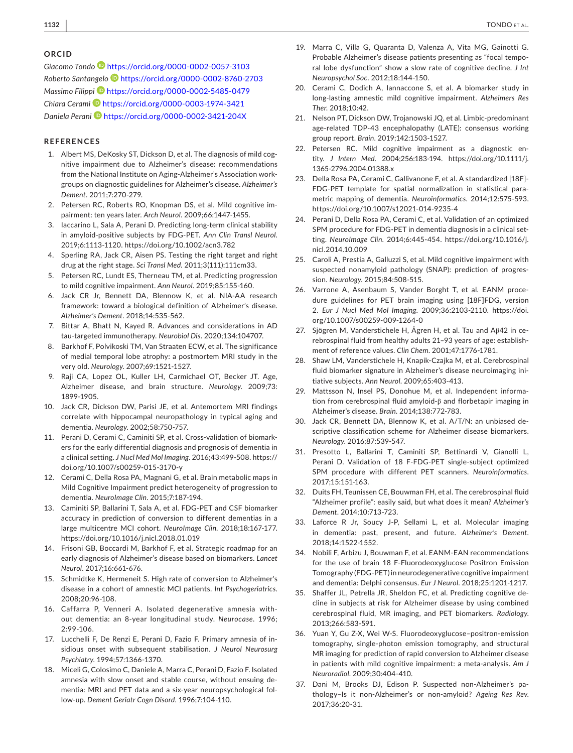#### **ORCID**

*Giacomo Tondo* <https://orcid.org/0000-0002-0057-3103> *Roberto Santangelo* <https://orcid.org/0000-0002-8760-2703> *Massimo Filipp[i](https://orcid.org/0000-0002-5485-0479)* <https://orcid.org/0000-0002-5485-0479> *Chiara Cerami* <https://orcid.org/0000-0003-1974-3421> *Daniela Peran[i](https://orcid.org/0000-0002-3421-204X)* <https://orcid.org/0000-0002-3421-204X>

## **REFERENCES**

- 1. Albert MS, DeKosky ST, Dickson D, et al. The diagnosis of mild cognitive impairment due to Alzheimer's disease: recommendations from the National Institute on Aging-Alzheimer's Association workgroups on diagnostic guidelines for Alzheimer's disease. *Alzheimer's Dement*. 2011;7:270-279.
- 2. Petersen RC, Roberts RO, Knopman DS, et al. Mild cognitive impairment: ten years later. *Arch Neurol*. 2009;66:1447-1455.
- laccarino L, Sala A, Perani D. Predicting long-term clinical stability in amyloid-positive subjects by FDG-PET. *Ann Clin Transl Neurol*. 2019;6:1113-1120. <https://doi.org/10.1002/acn3.782>
- 4. Sperling RA, Jack CR, Aisen PS. Testing the right target and right drug at the right stage. *Sci Transl Med*. 2011;3(111):111cm33.
- 5. Petersen RC, Lundt ES, Therneau TM, et al. Predicting progression to mild cognitive impairment. *Ann Neurol*. 2019;85:155-160.
- 6. Jack CR Jr, Bennett DA, Blennow K, et al. NIA-AA research framework: toward a biological definition of Alzheimer's disease. *Alzheimer's Dement*. 2018;14:535-562.
- 7. Bittar A, Bhatt N, Kayed R. Advances and considerations in AD tau-targeted immunotherapy. *Neurobiol Dis*. 2020;134:104707.
- 8. Barkhof F, Polvikoski TM, Van Straaten ECW, et al. The significance of medial temporal lobe atrophy: a postmortem MRI study in the very old. *Neurology*. 2007;69:1521-1527.
- 9. Raji CA, Lopez OL, Kuller LH, Carmichael OT, Becker JT. Age, Alzheimer disease, and brain structure. *Neurology*. 2009;73: 1899-1905.
- 10. Jack CR, Dickson DW, Parisi JE, et al. Antemortem MRI findings correlate with hippocampal neuropathology in typical aging and dementia. *Neurology*. 2002;58:750-757.
- 11. Perani D, Cerami C, Caminiti SP, et al. Cross-validation of biomarkers for the early differential diagnosis and prognosis of dementia in a clinical setting. *J Nucl Med Mol Imaging*. 2016;43:499-508. [https://](https://doi.org/10.1007/s00259-015-3170-y) [doi.org/10.1007/s00259-015-3170-y](https://doi.org/10.1007/s00259-015-3170-y)
- 12. Cerami C, Della Rosa PA, Magnani G, et al. Brain metabolic maps in Mild Cognitive Impairment predict heterogeneity of progression to dementia. *NeuroImage Clin*. 2015;7:187-194.
- 13. Caminiti SP, Ballarini T, Sala A, et al. FDG-PET and CSF biomarker accuracy in prediction of conversion to different dementias in a large multicentre MCI cohort. *NeuroImage Clin*. 2018;18:167-177. <https://doi.org/10.1016/j.nicl.2018.01.019>
- 14. Frisoni GB, Boccardi M, Barkhof F, et al. Strategic roadmap for an early diagnosis of Alzheimer's disease based on biomarkers. *Lancet Neurol*. 2017;16:661-676.
- 15. Schmidtke K, Hermeneit S. High rate of conversion to Alzheimer's disease in a cohort of amnestic MCI patients. *Int Psychogeriatrics*. 2008;20:96-108.
- 16. Caffarra P, Venneri A. Isolated degenerative amnesia without dementia: an 8-year longitudinal study. *Neurocase*. 1996; 2:99-106.
- 17. Lucchelli F, De Renzi E, Perani D, Fazio F. Primary amnesia of insidious onset with subsequent stabilisation. *J Neurol Neurosurg Psychiatry*. 1994;57:1366-1370.
- 18. Miceli G, Colosimo C, Daniele A, Marra C, Perani D, Fazio F. Isolated amnesia with slow onset and stable course, without ensuing dementia: MRI and PET data and a six-year neuropsychological follow-up. *Dement Geriatr Cogn Disord*. 1996;7:104-110.
- 19. Marra C, Villa G, Quaranta D, Valenza A, Vita MG, Gainotti G. Probable Alzheimer's disease patients presenting as "focal temporal lobe dysfunction" show a slow rate of cognitive decline. *J Int Neuropsychol Soc*. 2012;18:144-150.
- 20. Cerami C, Dodich A, Iannaccone S, et al. A biomarker study in long-lasting amnestic mild cognitive impairment. *Alzheimers Res Ther*. 2018;10:42.
- 21. Nelson PT, Dickson DW, Trojanowski JQ, et al. Limbic-predominant age-related TDP-43 encephalopathy (LATE): consensus working group report. *Brain*. 2019;142:1503-1527.
- 22. Petersen RC. Mild cognitive impairment as a diagnostic entity. *J Intern Med*. 2004;256:183-194. [https://doi.org/10.1111/j.](https://doi.org/10.1111/j.1365-2796.2004.01388.x) [1365-2796.2004.01388.x](https://doi.org/10.1111/j.1365-2796.2004.01388.x)
- 23. Della Rosa PA, Cerami C, Gallivanone F, et al. A standardized [18F]- FDG-PET template for spatial normalization in statistical parametric mapping of dementia. *Neuroinformatics*. 2014;12:575-593. <https://doi.org/10.1007/s12021-014-9235-4>
- 24. Perani D, Della Rosa PA, Cerami C, et al. Validation of an optimized SPM procedure for FDG-PET in dementia diagnosis in a clinical setting. *NeuroImage Clin*. 2014;6:445-454. [https://doi.org/10.1016/j.](https://doi.org/10.1016/j.nicl.2014.10.009) [nicl.2014.10.009](https://doi.org/10.1016/j.nicl.2014.10.009)
- 25. Caroli A, Prestia A, Galluzzi S, et al. Mild cognitive impairment with suspected nonamyloid pathology (SNAP): prediction of progression. *Neurology*. 2015;84:508-515.
- 26. Varrone A, Asenbaum S, Vander Borght T, et al. EANM procedure guidelines for PET brain imaging using [18F]FDG, version 2. *Eur J Nucl Med Mol Imaging*. 2009;36:2103-2110. [https://doi.](https://doi.org/10.1007/s00259-009-1264-0) [org/10.1007/s00259-009-1264-0](https://doi.org/10.1007/s00259-009-1264-0)
- 27. Sjögren M, Vanderstichele H, Ågren H, et al. Tau and Aβ42 in cerebrospinal fluid from healthy adults 21–93 years of age: establishment of reference values. *Clin Chem*. 2001;47:1776-1781.
- 28. Shaw LM, Vanderstichele H, Knapik-Czajka M, et al. Cerebrospinal fluid biomarker signature in Alzheimer's disease neuroimaging initiative subjects. *Ann Neurol*. 2009;65:403-413.
- 29. Mattsson N, Insel PS, Donohue M, et al. Independent information from cerebrospinal fluid amyloid-β and florbetapir imaging in Alzheimer's disease. *Brain*. 2014;138:772-783.
- 30. Jack CR, Bennett DA, Blennow K, et al. A/T/N: an unbiased descriptive classification scheme for Alzheimer disease biomarkers. *Neurology*. 2016;87:539-547.
- 31. Presotto L, Ballarini T, Caminiti SP, Bettinardi V, Gianolli L, Perani D. Validation of 18 F-FDG-PET single-subject optimized SPM procedure with different PET scanners. *Neuroinformatics*. 2017;15:151-163.
- 32. Duits FH, Teunissen CE, Bouwman FH, et al. The cerebrospinal fluid "Alzheimer profile": easily said, but what does it mean? *Alzheimer's Dement*. 2014;10:713-723.
- 33. Laforce R Jr, Soucy J-P, Sellami L, et al. Molecular imaging in dementia: past, present, and future. *Alzheimer's Dement*. 2018;14:1522-1552.
- 34. Nobili F, Arbizu J, Bouwman F, et al. EANM-EAN recommendations for the use of brain 18 F-Fluorodeoxyglucose Positron Emission Tomography (FDG-PET) in neurodegenerative cognitive impairment and dementia: Delphi consensus. *Eur J Neurol*. 2018;25:1201-1217.
- 35. Shaffer JL, Petrella JR, Sheldon FC, et al. Predicting cognitive decline in subjects at risk for Alzheimer disease by using combined cerebrospinal fluid, MR imaging, and PET biomarkers. *Radiology*. 2013;266:583-591.
- 36. Yuan Y, Gu Z-X, Wei W-S. Fluorodeoxyglucose–positron-emission tomography, single-photon emission tomography, and structural MR imaging for prediction of rapid conversion to Alzheimer disease in patients with mild cognitive impairment: a meta-analysis. *Am J Neuroradiol*. 2009;30:404-410.
- 37. Dani M, Brooks DJ, Edison P. Suspected non-Alzheimer's pathology–Is it non-Alzheimer's or non-amyloid? *Ageing Res Rev*. 2017;36:20-31.